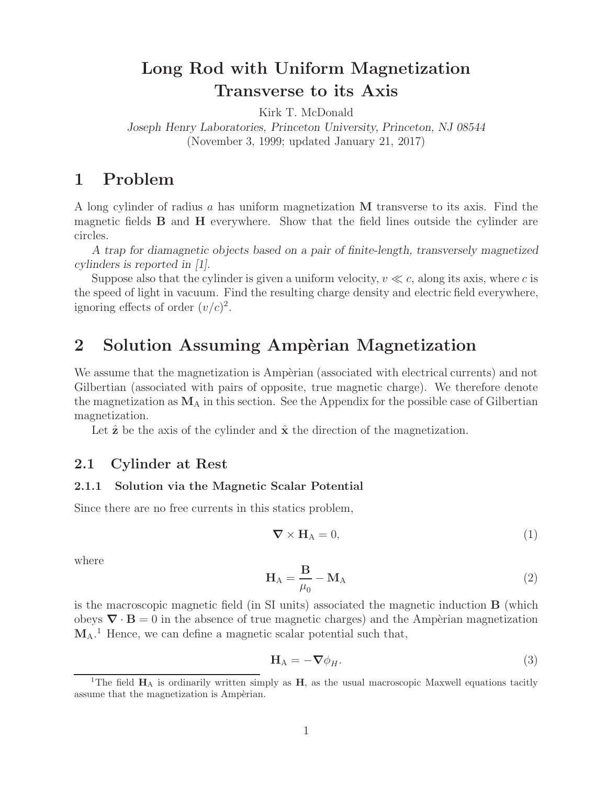# **Long Rod with Uniform Magnetization Transverse to its Axis**

Kirk T. McDonald

*Joseph Henry Laboratories, Princeton University, Princeton, NJ 08544* (November 3, 1999; updated January 21, 2017)

# **1 Problem**

A long cylinder of radius a has uniform magnetization **M** transverse to its axis. Find the magnetic fields **B** and **H** everywhere. Show that the field lines outside the cylinder are circles.

*A trap for diamagnetic objects based on a pair of finite-length, transversely magnetized cylinders is reported in [1].*

Suppose also that the cylinder is given a uniform velocity,  $v \ll c$ , along its axis, where c is the speed of light in vacuum. Find the resulting charge density and electric field everywhere, ignoring effects of order  $(v/c)^2$ .

## 2 Solution Assuming Ampèrian Magnetization

We assume that the magnetization is Ampèrian (associated with electrical currents) and not Gilbertian (associated with pairs of opposite, true magnetic charge). We therefore denote the magnetization as  $M_A$  in this section. See the Appendix for the possible case of Gilbertian magnetization.

Let  $\hat{z}$  be the axis of the cylinder and  $\hat{x}$  the direction of the magnetization.

### **2.1 Cylinder at Rest**

#### **2.1.1 Solution via the Magnetic Scalar Potential**

Since there are no free currents in this statics problem,

$$
\nabla \times \mathbf{H}_{\mathbf{A}} = 0,\tag{1}
$$

where

$$
\mathbf{H}_{\mathrm{A}} = \frac{\mathbf{B}}{\mu_0} - \mathbf{M}_{\mathrm{A}} \tag{2}
$$

is the macroscopic magnetic field (in SI units) associated the magnetic induction **B** (which obeys  $\nabla \cdot \mathbf{B} = 0$  in the absence of true magnetic charges) and the Ampèrian magnetization **M**A. <sup>1</sup> Hence, we can define a magnetic scalar potential such that,

$$
\mathbf{H}_{\mathbf{A}} = -\nabla \phi_H. \tag{3}
$$

<sup>&</sup>lt;sup>1</sup>The field  $\mathbf{H}_{\text{A}}$  is ordinarily written simply as **H**, as the usual macroscopic Maxwell equations tacitly assume that the magnetization is Ampèrian.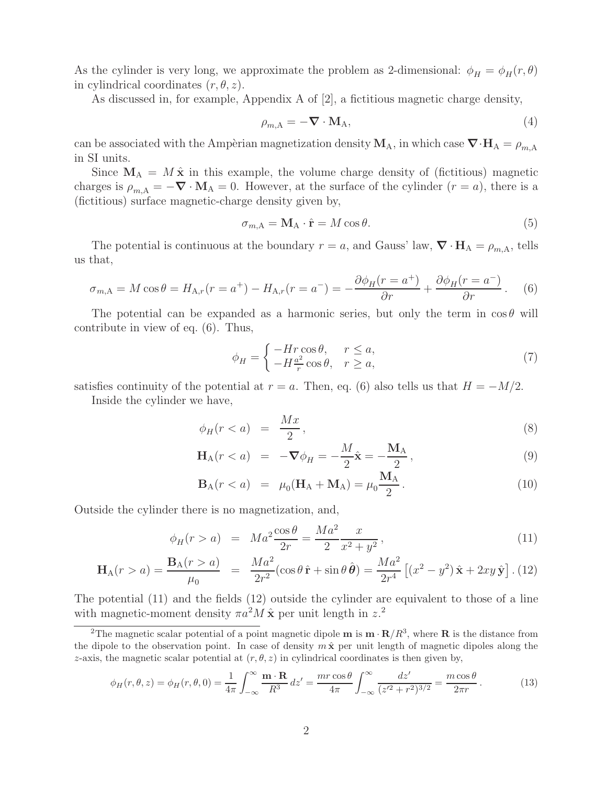As the cylinder is very long, we approximate the problem as 2-dimensional:  $\phi_H = \phi_H(r, \theta)$ in cylindrical coordinates  $(r, \theta, z)$ .

As discussed in, for example, Appendix A of [2], a fictitious magnetic charge density,

$$
\rho_{m,A} = -\nabla \cdot \mathbf{M}_A,\tag{4}
$$

can be associated with the Ampèrian magnetization density  $M_A$ , in which case  $\nabla \cdot H_A = \rho_{m,A}$ in SI units.

Since  $\mathbf{M}_{\rm A} = M \hat{\mathbf{x}}$  in this example, the volume charge density of (fictitious) magnetic charges is  $\rho_{m,A} = -\nabla \cdot \mathbf{M}_A = 0$ . However, at the surface of the cylinder  $(r = a)$ , there is a (fictitious) surface magnetic-charge density given by,

$$
\sigma_{m,A} = \mathbf{M}_A \cdot \hat{\mathbf{r}} = M \cos \theta. \tag{5}
$$

The potential is continuous at the boundary  $r = a$ , and Gauss' law,  $\nabla \cdot \mathbf{H}_A = \rho_{m,A}$ , tells us that,

$$
\sigma_{m,A} = M\cos\theta = H_{A,r}(r = a^+) - H_{A,r}(r = a^-) = -\frac{\partial\phi_H(r = a^+)}{\partial r} + \frac{\partial\phi_H(r = a^-)}{\partial r}.
$$
 (6)

The potential can be expanded as a harmonic series, but only the term in  $\cos \theta$  will contribute in view of eq. (6). Thus,

$$
\phi_H = \begin{cases}\n-Hr\cos\theta, & r \le a, \\
-H\frac{a^2}{r}\cos\theta, & r \ge a,\n\end{cases}
$$
\n(7)

satisfies continuity of the potential at  $r = a$ . Then, eq. (6) also tells us that  $H = -M/2$ .

Inside the cylinder we have,

$$
\phi_H(r < a) = \frac{Mx}{2},\tag{8}
$$

$$
\mathbf{H}_{\mathbf{A}}(r < a) = -\nabla \phi_H = -\frac{M}{2}\hat{\mathbf{x}} = -\frac{\mathbf{M}_{\mathbf{A}}}{2},\tag{9}
$$

$$
\mathbf{B}_{A}(r < a) = \mu_0(\mathbf{H}_A + \mathbf{M}_A) = \mu_0 \frac{\mathbf{M}_A}{2}.
$$
 (10)

Outside the cylinder there is no magnetization, and,

$$
\phi_H(r > a) = Ma^2 \frac{\cos \theta}{2r} = \frac{Ma^2}{2} \frac{x}{x^2 + y^2},
$$
\n(11)

$$
\mathbf{H}_{A}(r > a) = \frac{\mathbf{B}_{A}(r > a)}{\mu_{0}} = \frac{Ma^{2}}{2r^{2}}(\cos \theta \,\hat{\mathbf{r}} + \sin \theta \,\hat{\boldsymbol{\theta}}) = \frac{Ma^{2}}{2r^{4}}\left[ (x^{2} - y^{2})\,\hat{\mathbf{x}} + 2xy\,\hat{\mathbf{y}} \right].
$$
 (12)

The potential (11) and the fields (12) outside the cylinder are equivalent to those of a line with magnetic-moment density  $\pi a^2 M \hat{\mathbf{x}}$  per unit length in  $z^2$ .

$$
\phi_H(r,\theta,z) = \phi_H(r,\theta,0) = \frac{1}{4\pi} \int_{-\infty}^{\infty} \frac{\mathbf{m} \cdot \mathbf{R}}{R^3} dz' = \frac{mr \cos \theta}{4\pi} \int_{-\infty}^{\infty} \frac{dz'}{(z'^2 + r^2)^{3/2}} = \frac{m \cos \theta}{2\pi r}.
$$
 (13)

<sup>&</sup>lt;sup>2</sup>The magnetic scalar potential of a point magnetic dipole **m** is  $\mathbf{m} \cdot \mathbf{R}/R^3$ , where **R** is the distance from the dipole to the observation point. In case of density  $m\hat{x}$  per unit length of magnetic dipoles along the z-axis, the magnetic scalar potential at  $(r, \theta, z)$  in cylindrical coordinates is then given by,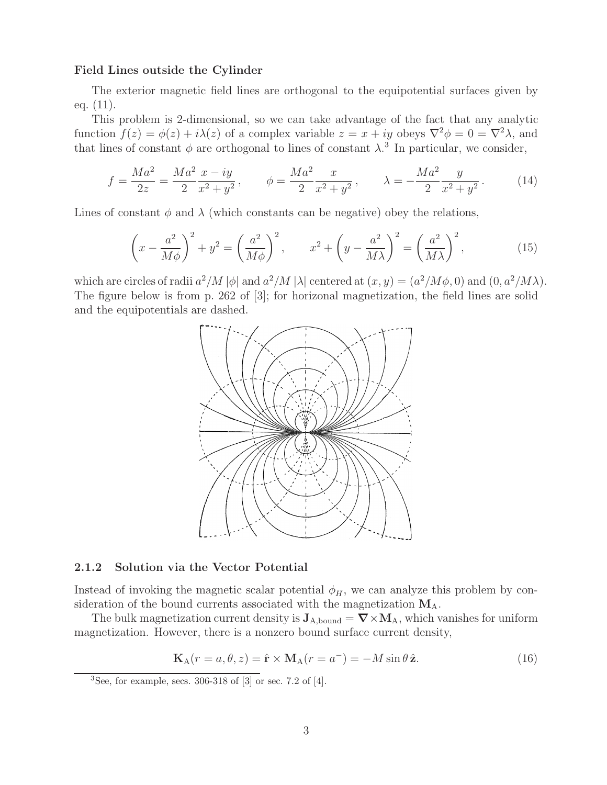#### **Field Lines outside the Cylinder**

The exterior magnetic field lines are orthogonal to the equipotential surfaces given by eq. (11).

This problem is 2-dimensional, so we can take advantage of the fact that any analytic function  $f(z) = \phi(z) + i\lambda(z)$  of a complex variable  $z = x + iy$  obeys  $\nabla^2 \phi = 0 = \nabla^2 \lambda$ , and that lines of constant  $\phi$  are orthogonal to lines of constant  $\lambda$ .<sup>3</sup> In particular, we consider,

$$
f = \frac{Ma^2}{2z} = \frac{Ma^2}{2} \frac{x - iy}{x^2 + y^2}, \qquad \phi = \frac{Ma^2}{2} \frac{x}{x^2 + y^2}, \qquad \lambda = -\frac{Ma^2}{2} \frac{y}{x^2 + y^2}.
$$
 (14)

Lines of constant  $\phi$  and  $\lambda$  (which constants can be negative) obey the relations,

$$
\left(x - \frac{a^2}{M\phi}\right)^2 + y^2 = \left(\frac{a^2}{M\phi}\right)^2, \qquad x^2 + \left(y - \frac{a^2}{M\lambda}\right)^2 = \left(\frac{a^2}{M\lambda}\right)^2,\tag{15}
$$

which are circles of radii  $a^2/M |\phi|$  and  $a^2/M |\lambda|$  centered at  $(x, y)=(a^2/M\phi, 0)$  and  $(0, a^2/M\lambda)$ . The figure below is from p. 262 of [3]; for horizonal magnetization, the field lines are solid and the equipotentials are dashed.



#### **2.1.2 Solution via the Vector Potential**

Instead of invoking the magnetic scalar potential  $\phi_H$ , we can analyze this problem by consideration of the bound currents associated with the magnetization **M**A.

The bulk magnetization current density is  $J_{A, bound} = \nabla \times M_A$ , which vanishes for uniform magnetization. However, there is a nonzero bound surface current density,

$$
\mathbf{K}_{A}(r=a,\theta,z)=\hat{\mathbf{r}}\times\mathbf{M}_{A}(r=a^{-})=-M\sin\theta\,\hat{\mathbf{z}}.\tag{16}
$$

 ${}^{3}$ See, for example, secs. 306-318 of  $[3]$  or sec. 7.2 of  $[4]$ .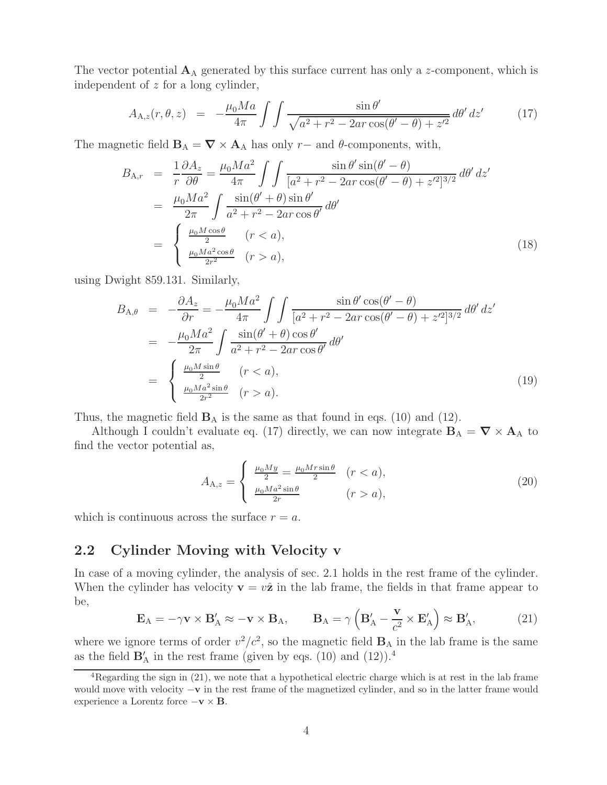The vector potential  $\mathbf{A}_{\text{A}}$  generated by this surface current has only a z-component, which is independent of z for a long cylinder,

$$
A_{A,z}(r,\theta,z) = -\frac{\mu_0 Ma}{4\pi} \int \int \frac{\sin \theta'}{\sqrt{a^2 + r^2 - 2ar\cos(\theta' - \theta) + z'^2}} d\theta' dz' \tag{17}
$$

The magnetic field  $\mathbf{B}_A = \nabla \times \mathbf{A}_A$  has only r– and  $\theta$ -components, with,

$$
B_{A,r} = \frac{1}{r} \frac{\partial A_z}{\partial \theta} = \frac{\mu_0 Ma^2}{4\pi} \int \int \frac{\sin \theta' \sin(\theta' - \theta)}{[a^2 + r^2 - 2ar \cos(\theta' - \theta) + z'^2]^{3/2}} d\theta' dz'
$$
  

$$
= \frac{\mu_0 Ma^2}{2\pi} \int \frac{\sin(\theta' + \theta) \sin \theta'}{a^2 + r^2 - 2ar \cos \theta'} d\theta'
$$
  

$$
= \begin{cases} \frac{\mu_0 M \cos \theta}{2} & (r < a), \\ \frac{\mu_0 Ma^2 \cos \theta}{2r^2} & (r > a), \end{cases}
$$
(18)

using Dwight 859.131. Similarly,

$$
B_{A,\theta} = -\frac{\partial A_z}{\partial r} = -\frac{\mu_0 Ma^2}{4\pi} \int \int \frac{\sin \theta' \cos(\theta' - \theta)}{[a^2 + r^2 - 2ar \cos(\theta' - \theta) + z'^2]^{3/2}} d\theta' dz'
$$
  

$$
= -\frac{\mu_0 Ma^2}{2\pi} \int \frac{\sin(\theta' + \theta) \cos \theta'}{a^2 + r^2 - 2ar \cos \theta'} d\theta'
$$
  

$$
= \begin{cases} \frac{\mu_0 M \sin \theta}{2} & (r < a), \\ \frac{\mu_0 Ma^2 \sin \theta}{2r^2} & (r > a). \end{cases}
$$
(19)

Thus, the magnetic field  $\mathbf{B}_{\rm A}$  is the same as that found in eqs. (10) and (12).

Although I couldn't evaluate eq. (17) directly, we can now integrate  $\mathbf{B}_A = \nabla \times \mathbf{A}_A$  to find the vector potential as,

$$
A_{A,z} = \begin{cases} \frac{\mu_0 M y}{2} = \frac{\mu_0 M r \sin \theta}{2} & (r < a), \\ \frac{\mu_0 M a^2 \sin \theta}{2r} & (r > a), \end{cases}
$$
 (20)

which is continuous across the surface  $r = a$ .

### **2.2 Cylinder Moving with Velocity v**

In case of a moving cylinder, the analysis of sec. 2.1 holds in the rest frame of the cylinder. When the cylinder has velocity  $\mathbf{v} = v\hat{\mathbf{z}}$  in the lab frame, the fields in that frame appear to be,

$$
\mathbf{E}_{A} = -\gamma \mathbf{v} \times \mathbf{B}_{A}^{\prime} \approx -\mathbf{v} \times \mathbf{B}_{A}, \qquad \mathbf{B}_{A} = \gamma \left( \mathbf{B}_{A}^{\prime} - \frac{\mathbf{v}}{c^{2}} \times \mathbf{E}_{A}^{\prime} \right) \approx \mathbf{B}_{A}^{\prime}, \tag{21}
$$

where we ignore terms of order  $v^2/c^2$ , so the magnetic field  $\mathbf{B}_A$  in the lab frame is the same as the field  $\mathbf{B}'_{\mathbf{A}}$  in the rest frame (given by eqs. (10) and (12)).<sup>4</sup>

<sup>&</sup>lt;sup>4</sup>Regarding the sign in  $(21)$ , we note that a hypothetical electric charge which is at rest in the lab frame would move with velocity −**v** in the rest frame of the magnetized cylinder, and so in the latter frame would experience a Lorentz force −**v** × **B**.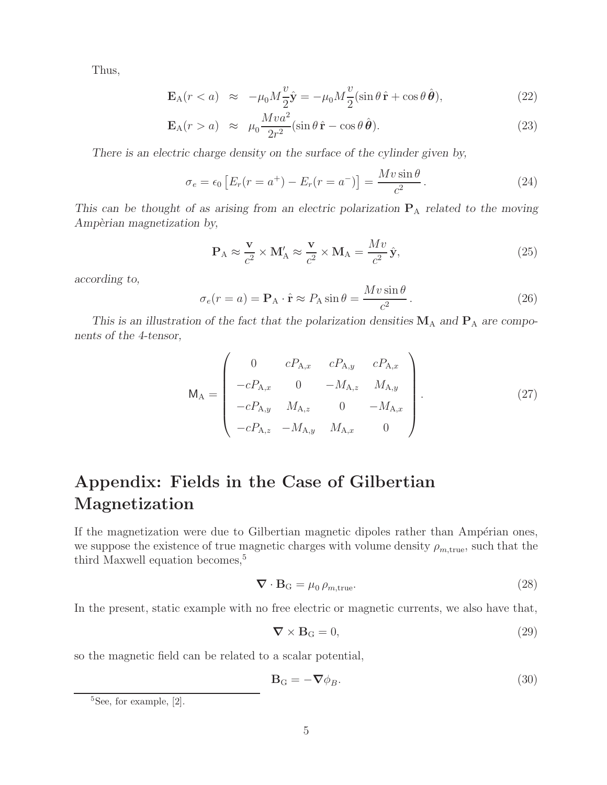Thus,

$$
\mathbf{E}_{A}(r < a) \approx -\mu_{0}M\frac{v}{2}\hat{\mathbf{y}} = -\mu_{0}M\frac{v}{2}(\sin\theta\,\hat{\mathbf{r}} + \cos\theta\,\hat{\boldsymbol{\theta}}), \tag{22}
$$

$$
\mathbf{E}_{A}(r > a) \approx \mu_0 \frac{Mv a^2}{2r^2} (\sin \theta \,\hat{\mathbf{r}} - \cos \theta \,\hat{\boldsymbol{\theta}}). \tag{23}
$$

*There is an electric charge density on the surface of the cylinder given by,*

$$
\sigma_e = \epsilon_0 \left[ E_r(r = a^+) - E_r(r = a^-) \right] = \frac{Mv \sin \theta}{c^2}.
$$
 (24)

*This can be thought of as arising from an electric polarization* **P**<sup>A</sup> *related to the moving Amp`erian magnetization by,*

$$
\mathbf{P}_{A} \approx \frac{\mathbf{v}}{c^2} \times \mathbf{M}'_{A} \approx \frac{\mathbf{v}}{c^2} \times \mathbf{M}_{A} = \frac{Mv}{c^2} \hat{\mathbf{y}},\tag{25}
$$

*according to,*

$$
\sigma_e(r = a) = \mathbf{P}_A \cdot \hat{\mathbf{r}} \approx P_A \sin \theta = \frac{Mv \sin \theta}{c^2}.
$$
 (26)

*This is an illustration of the fact that the polarization densities*  $\mathbf{M}_{A}$  *and*  $\mathbf{P}_{A}$  *are components of the 4-tensor,*

$$
M_{A} = \begin{pmatrix} 0 & cP_{A,x} & cP_{A,y} & cP_{A,x} \\ -cP_{A,x} & 0 & -M_{A,z} & M_{A,y} \\ -cP_{A,y} & M_{A,z} & 0 & -M_{A,x} \\ -cP_{A,z} & -M_{A,y} & M_{A,x} & 0 \end{pmatrix}.
$$
 (27)

# **Appendix: Fields in the Case of Gilbertian Magnetization**

If the magnetization were due to Gilbertian magnetic dipoles rather than Ampérian ones, we suppose the existence of true magnetic charges with volume density  $\rho_{m,\text{true}}$ , such that the third Maxwell equation becomes,<sup>5</sup>

$$
\nabla \cdot \mathbf{B}_{\mathbf{G}} = \mu_0 \, \rho_{m, \text{true}}.\tag{28}
$$

In the present, static example with no free electric or magnetic currents, we also have that,

$$
\nabla \times \mathbf{B}_{\mathbf{G}} = 0,\tag{29}
$$

so the magnetic field can be related to a scalar potential,

$$
\mathbf{B}_{\mathrm{G}} = -\nabla \phi_B. \tag{30}
$$

<sup>&</sup>lt;sup>5</sup>See, for example, [2].